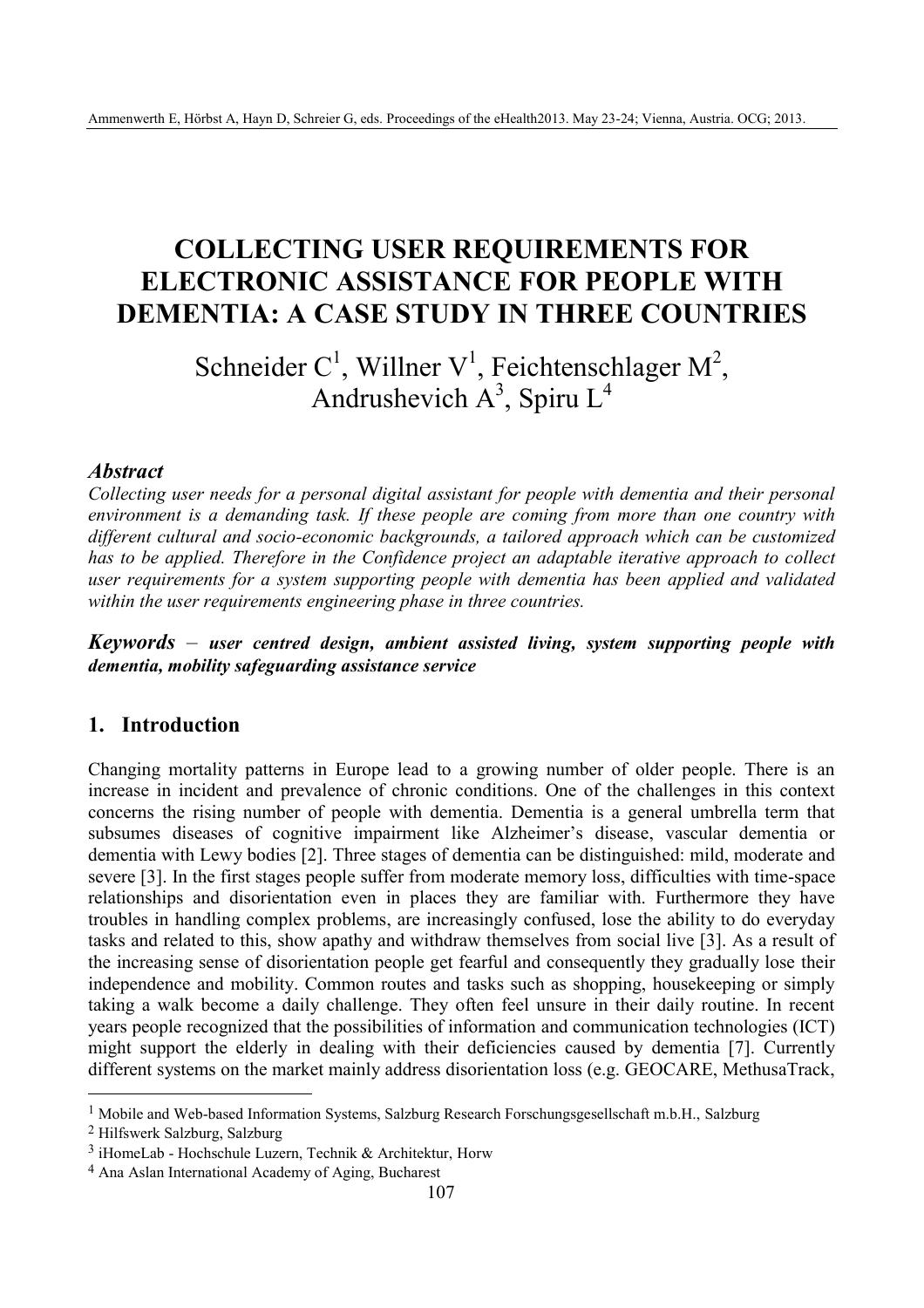# **COLLECTING USER REQUIREMENTS FOR ELECTRONIC ASSISTANCE FOR PEOPLE WITH DEMENTIA: A CASE STUDY IN THREE COUNTRIES**

Schneider C<sup>1</sup>, Willner V<sup>1</sup>, Feichtenschlager M<sup>2</sup>, Andrushevich  $A^3$ , Spiru L<sup>4</sup>

#### *Abstract*

*Collecting user needs for a personal digital assistant for people with dementia and their personal environment is a demanding task. If these people are coming from more than one country with different cultural and socio-economic backgrounds, a tailored approach which can be customized has to be applied. Therefore in the Confidence project an adaptable iterative approach to collect user requirements for a system supporting people with dementia has been applied and validated within the user requirements engineering phase in three countries.*

*Keywords* – *user centred design, ambient assisted living, system supporting people with dementia, mobility safeguarding assistance service*

## **1. Introduction**

Changing mortality patterns in Europe lead to a growing number of older people. There is an increase in incident and prevalence of chronic conditions. One of the challenges in this context concerns the rising number of people with dementia. Dementia is a general umbrella term that subsumes diseases of cognitive impairment like Alzheimer's disease, vascular dementia or dementia with Lewy bodies [2]. Three stages of dementia can be distinguished: mild, moderate and severe [3]. In the first stages people suffer from moderate memory loss, difficulties with time-space relationships and disorientation even in places they are familiar with. Furthermore they have troubles in handling complex problems, are increasingly confused, lose the ability to do everyday tasks and related to this, show apathy and withdraw themselves from social live [3]. As a result of the increasing sense of disorientation people get fearful and consequently they gradually lose their independence and mobility. Common routes and tasks such as shopping, housekeeping or simply taking a walk become a daily challenge. They often feel unsure in their daily routine. In recent years people recognized that the possibilities of information and communication technologies (ICT) might support the elderly in dealing with their deficiencies caused by dementia [7]. Currently different systems on the market mainly address disorientation loss (e.g. GEOCARE, MethusaTrack,

2 Hilfswerk Salzburg, Salzburg

 $\overline{a}$ 

<sup>1</sup> Mobile and Web-based Information Systems, Salzburg Research Forschungsgesellschaft m.b.H., Salzburg

<sup>3</sup> iHomeLab - Hochschule Luzern, Technik & Architektur, Horw

<sup>4</sup> Ana Aslan International Academy of Aging, Bucharest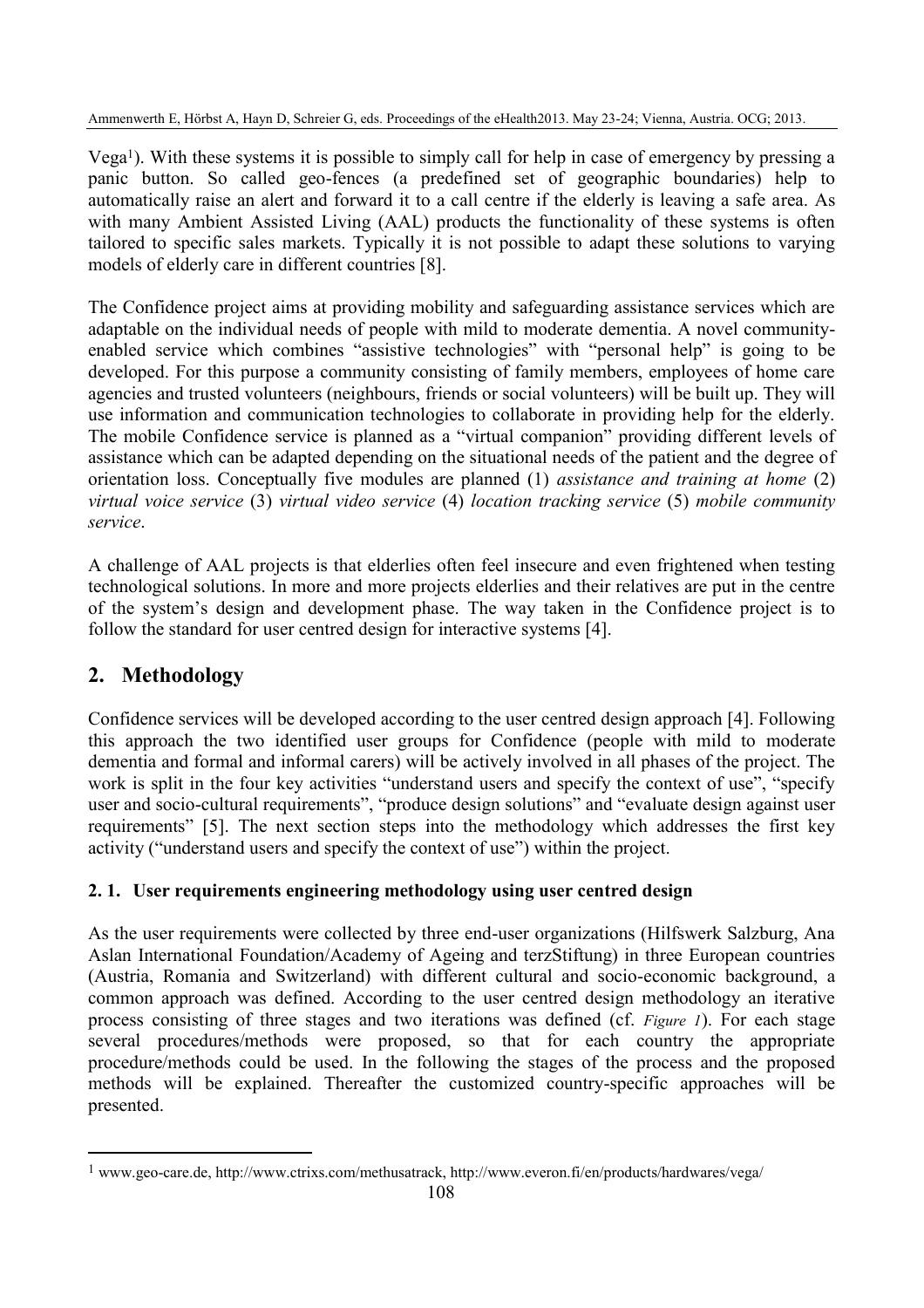Vega1). With these systems it is possible to simply call for help in case of emergency by pressing a panic button. So called geo-fences (a predefined set of geographic boundaries) help to automatically raise an alert and forward it to a call centre if the elderly is leaving a safe area. As with many Ambient Assisted Living (AAL) products the functionality of these systems is often tailored to specific sales markets. Typically it is not possible to adapt these solutions to varying models of elderly care in different countries [8].

The Confidence project aims at providing mobility and safeguarding assistance services which are adaptable on the individual needs of people with mild to moderate dementia. A novel communityenabled service which combines "assistive technologies" with "personal help" is going to be developed. For this purpose a community consisting of family members, employees of home care agencies and trusted volunteers (neighbours, friends or social volunteers) will be built up. They will use information and communication technologies to collaborate in providing help for the elderly. The mobile Confidence service is planned as a "virtual companion" providing different levels of assistance which can be adapted depending on the situational needs of the patient and the degree of orientation loss. Conceptually five modules are planned (1) *assistance and training at home* (2) *virtual voice service* (3) *virtual video service* (4) *location tracking service* (5) *mobile community service*.

A challenge of AAL projects is that elderlies often feel insecure and even frightened when testing technological solutions. In more and more projects elderlies and their relatives are put in the centre of the system's design and development phase. The way taken in the Confidence project is to follow the standard for user centred design for interactive systems [4].

# **2. Methodology**

 $\overline{a}$ 

Confidence services will be developed according to the user centred design approach [4]. Following this approach the two identified user groups for Confidence (people with mild to moderate dementia and formal and informal carers) will be actively involved in all phases of the project. The work is split in the four key activities "understand users and specify the context of use", "specify user and socio-cultural requirements", "produce design solutions" and "evaluate design against user requirements" [5]. The next section steps into the methodology which addresses the first key activity ("understand users and specify the context of use") within the project.

# **2. 1. User requirements engineering methodology using user centred design**

As the user requirements were collected by three end-user organizations (Hilfswerk Salzburg, Ana Aslan International Foundation/Academy of Ageing and terzStiftung) in three European countries (Austria, Romania and Switzerland) with different cultural and socio-economic background, a common approach was defined. According to the user centred design methodology an iterative process consisting of three stages and two iterations was defined (cf. *Figure 1*). For each stage several procedures/methods were proposed, so that for each country the appropriate procedure/methods could be used. In the following the stages of the process and the proposed methods will be explained. Thereafter the customized country-specific approaches will be presented.

<sup>1</sup> www.geo-care.de, http://www.ctrixs.com/methusatrack, http://www.everon.fi/en/products/hardwares/vega/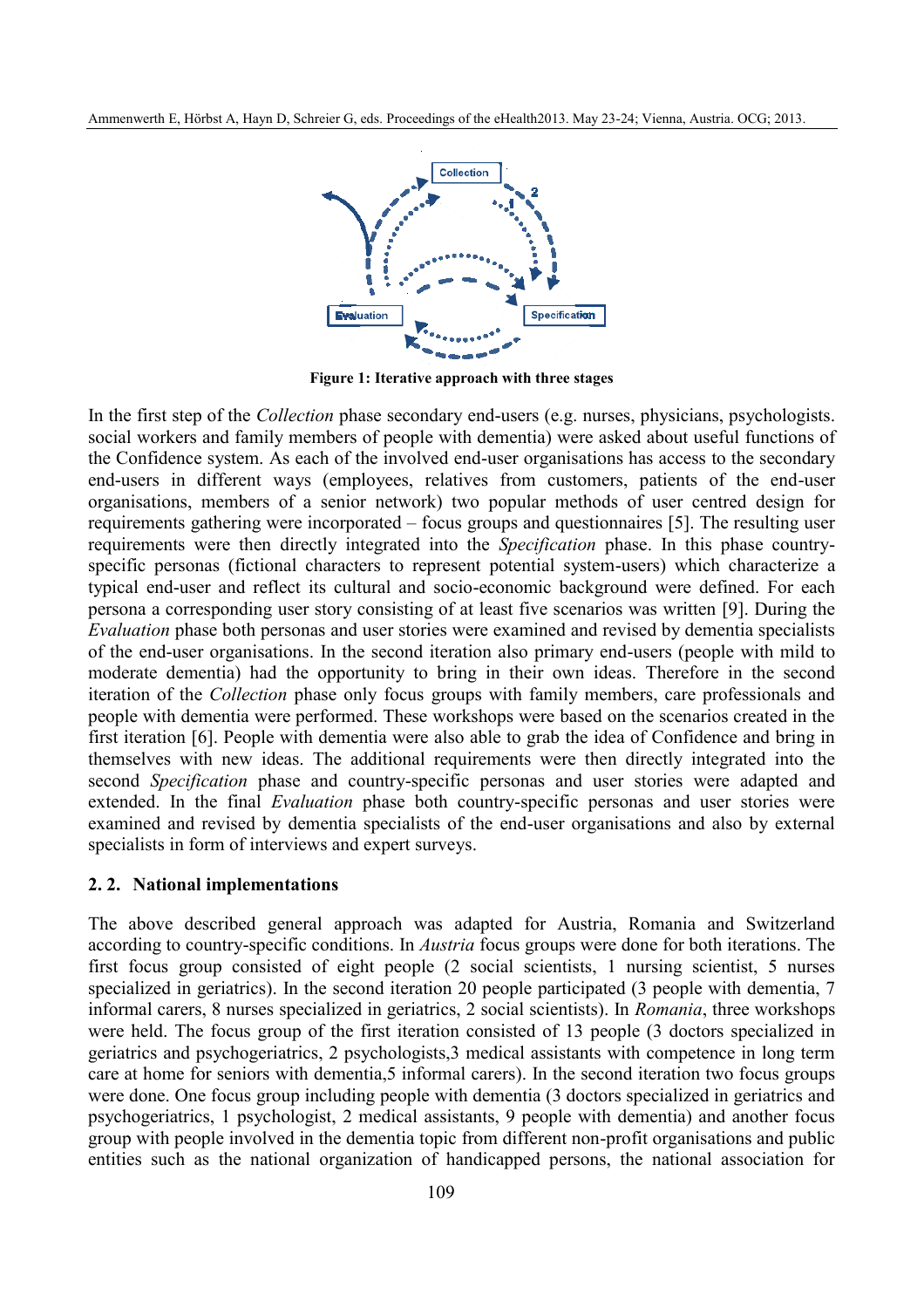

**Figure 1: Iterative approach with three stages**

In the first step of the *Collection* phase secondary end-users (e.g. nurses, physicians, psychologists. social workers and family members of people with dementia) were asked about useful functions of the Confidence system. As each of the involved end-user organisations has access to the secondary end-users in different ways (employees, relatives from customers, patients of the end-user organisations, members of a senior network) two popular methods of user centred design for requirements gathering were incorporated – focus groups and questionnaires [5]. The resulting user requirements were then directly integrated into the *Specification* phase. In this phase countryspecific personas (fictional characters to represent potential system-users) which characterize a typical end-user and reflect its cultural and socio-economic background were defined. For each persona a corresponding user story consisting of at least five scenarios was written [9]. During the *Evaluation* phase both personas and user stories were examined and revised by dementia specialists of the end-user organisations. In the second iteration also primary end-users (people with mild to moderate dementia) had the opportunity to bring in their own ideas. Therefore in the second iteration of the *Collection* phase only focus groups with family members, care professionals and people with dementia were performed. These workshops were based on the scenarios created in the first iteration [6]. People with dementia were also able to grab the idea of Confidence and bring in themselves with new ideas. The additional requirements were then directly integrated into the second *Specification* phase and country-specific personas and user stories were adapted and extended. In the final *Evaluation* phase both country-specific personas and user stories were examined and revised by dementia specialists of the end-user organisations and also by external specialists in form of interviews and expert surveys.

#### **2. 2. National implementations**

The above described general approach was adapted for Austria, Romania and Switzerland according to country-specific conditions. In *Austria* focus groups were done for both iterations. The first focus group consisted of eight people (2 social scientists, 1 nursing scientist, 5 nurses specialized in geriatrics). In the second iteration 20 people participated (3 people with dementia, 7 informal carers, 8 nurses specialized in geriatrics, 2 social scientists). In *Romania*, three workshops were held. The focus group of the first iteration consisted of 13 people (3 doctors specialized in geriatrics and psychogeriatrics, 2 psychologists,3 medical assistants with competence in long term care at home for seniors with dementia,5 informal carers). In the second iteration two focus groups were done. One focus group including people with dementia (3 doctors specialized in geriatrics and psychogeriatrics, 1 psychologist, 2 medical assistants, 9 people with dementia) and another focus group with people involved in the dementia topic from different non-profit organisations and public entities such as the national organization of handicapped persons, the national association for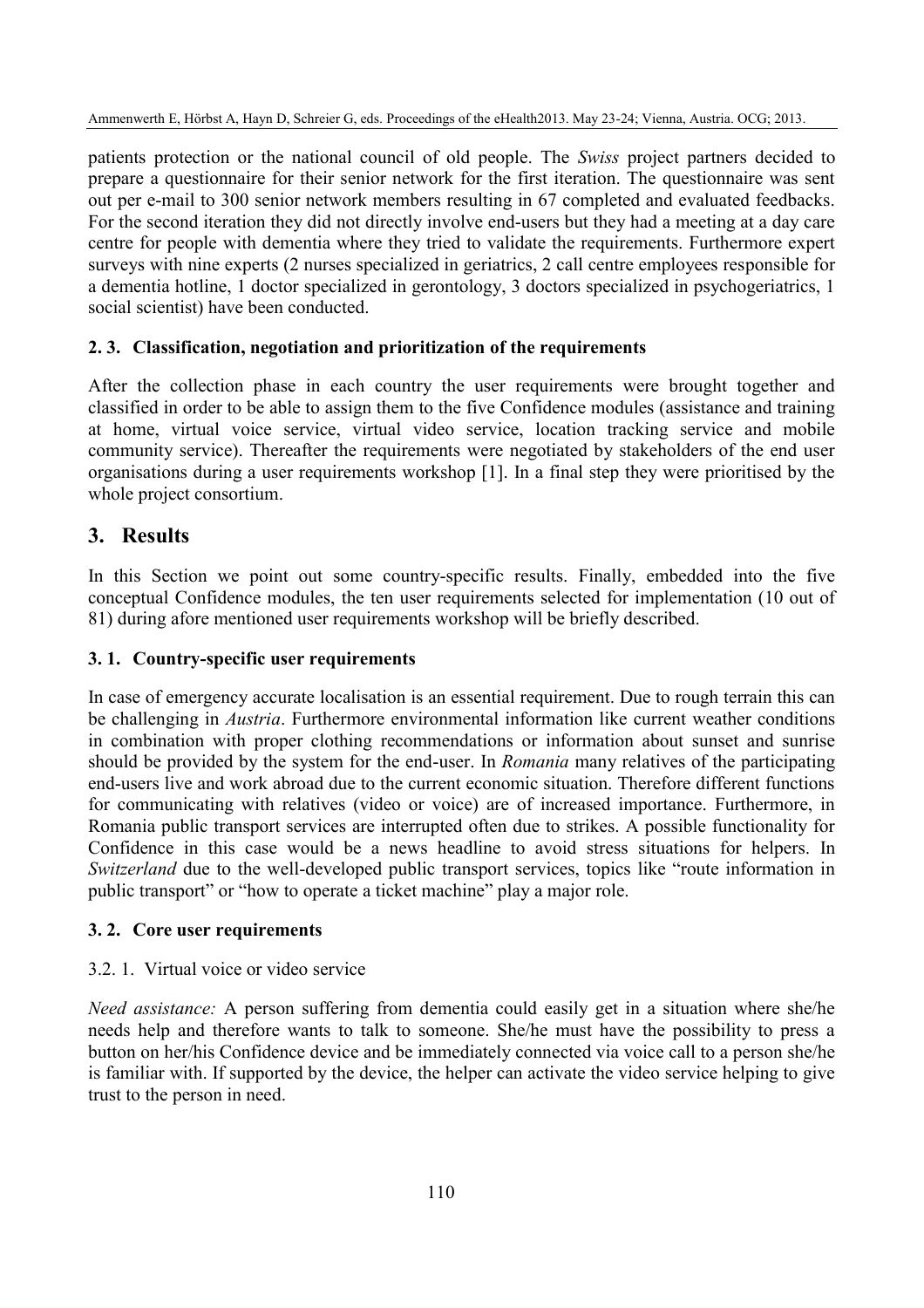patients protection or the national council of old people. The *Swiss* project partners decided to prepare a questionnaire for their senior network for the first iteration. The questionnaire was sent out per e-mail to 300 senior network members resulting in 67 completed and evaluated feedbacks. For the second iteration they did not directly involve end-users but they had a meeting at a day care centre for people with dementia where they tried to validate the requirements. Furthermore expert surveys with nine experts (2 nurses specialized in geriatrics, 2 call centre employees responsible for a dementia hotline, 1 doctor specialized in gerontology, 3 doctors specialized in psychogeriatrics, 1 social scientist) have been conducted.

#### **2. 3. Classification, negotiation and prioritization of the requirements**

After the collection phase in each country the user requirements were brought together and classified in order to be able to assign them to the five Confidence modules (assistance and training at home, virtual voice service, virtual video service, location tracking service and mobile community service). Thereafter the requirements were negotiated by stakeholders of the end user organisations during a user requirements workshop [1]. In a final step they were prioritised by the whole project consortium.

## **3. Results**

In this Section we point out some country-specific results. Finally, embedded into the five conceptual Confidence modules, the ten user requirements selected for implementation (10 out of 81) during afore mentioned user requirements workshop will be briefly described.

#### **3. 1. Country-specific user requirements**

In case of emergency accurate localisation is an essential requirement. Due to rough terrain this can be challenging in *Austria*. Furthermore environmental information like current weather conditions in combination with proper clothing recommendations or information about sunset and sunrise should be provided by the system for the end-user. In *Romania* many relatives of the participating end-users live and work abroad due to the current economic situation. Therefore different functions for communicating with relatives (video or voice) are of increased importance. Furthermore, in Romania public transport services are interrupted often due to strikes. A possible functionality for Confidence in this case would be a news headline to avoid stress situations for helpers. In *Switzerland* due to the well-developed public transport services, topics like "route information in public transport" or "how to operate a ticket machine" play a major role.

#### **3. 2. Core user requirements**

#### 3.2. 1. Virtual voice or video service

*Need assistance:* A person suffering from dementia could easily get in a situation where she/he needs help and therefore wants to talk to someone. She/he must have the possibility to press a button on her/his Confidence device and be immediately connected via voice call to a person she/he is familiar with. If supported by the device, the helper can activate the video service helping to give trust to the person in need.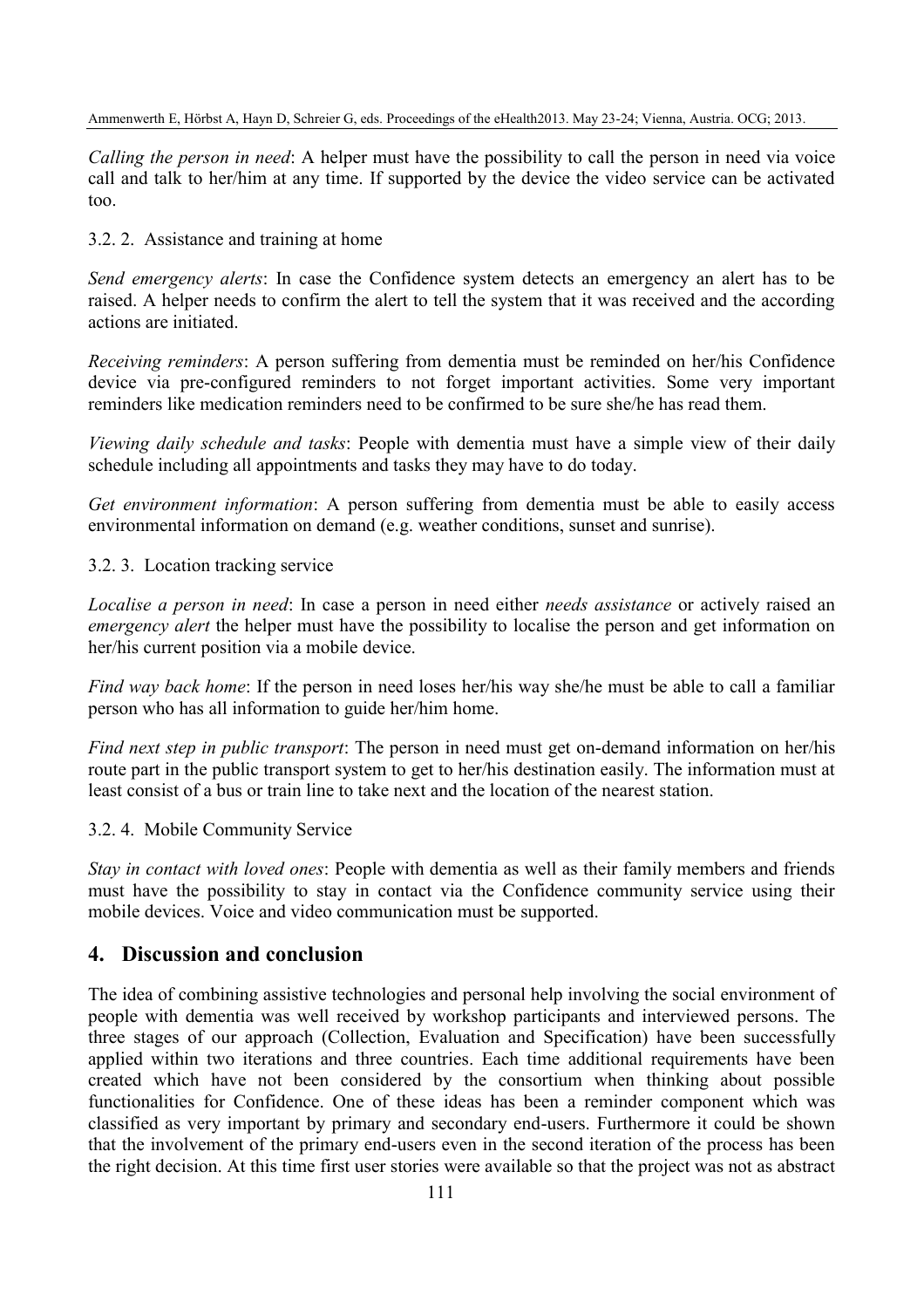*Calling the person in need*: A helper must have the possibility to call the person in need via voice call and talk to her/him at any time. If supported by the device the video service can be activated too.

3.2. 2. Assistance and training at home

*Send emergency alerts*: In case the Confidence system detects an emergency an alert has to be raised. A helper needs to confirm the alert to tell the system that it was received and the according actions are initiated.

*Receiving reminders*: A person suffering from dementia must be reminded on her/his Confidence device via pre-configured reminders to not forget important activities. Some very important reminders like medication reminders need to be confirmed to be sure she/he has read them.

*Viewing daily schedule and tasks*: People with dementia must have a simple view of their daily schedule including all appointments and tasks they may have to do today.

*Get environment information*: A person suffering from dementia must be able to easily access environmental information on demand (e.g. weather conditions, sunset and sunrise).

3.2. 3. Location tracking service

*Localise a person in need*: In case a person in need either *needs assistance* or actively raised an *emergency alert* the helper must have the possibility to localise the person and get information on her/his current position via a mobile device.

*Find way back home*: If the person in need loses her/his way she/he must be able to call a familiar person who has all information to guide her/him home.

*Find next step in public transport*: The person in need must get on-demand information on her/his route part in the public transport system to get to her/his destination easily. The information must at least consist of a bus or train line to take next and the location of the nearest station.

3.2. 4. Mobile Community Service

*Stay in contact with loved ones*: People with dementia as well as their family members and friends must have the possibility to stay in contact via the Confidence community service using their mobile devices. Voice and video communication must be supported.

#### **4. Discussion and conclusion**

The idea of combining assistive technologies and personal help involving the social environment of people with dementia was well received by workshop participants and interviewed persons. The three stages of our approach (Collection, Evaluation and Specification) have been successfully applied within two iterations and three countries. Each time additional requirements have been created which have not been considered by the consortium when thinking about possible functionalities for Confidence. One of these ideas has been a reminder component which was classified as very important by primary and secondary end-users. Furthermore it could be shown that the involvement of the primary end-users even in the second iteration of the process has been the right decision. At this time first user stories were available so that the project was not as abstract